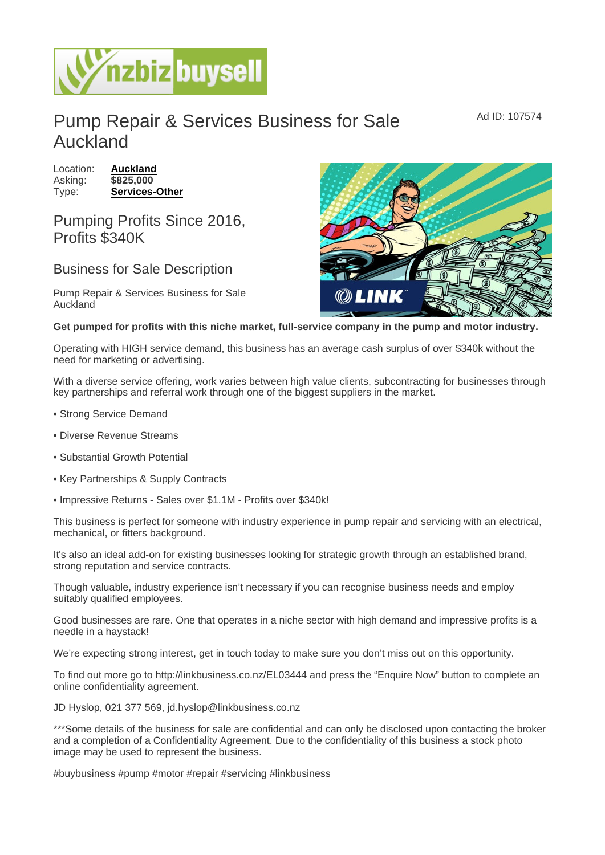## Pump Repair & Services Business for Sale Auckland

Location: [Auckland](https://www.nzbizbuysell.co.nz/businesses-for-sale/location/Auckland) Asking: \$825,000 Type: [Services-Other](https://www.nzbizbuysell.co.nz/businesses-for-sale/Services/New-Zealand)

## Pumping Profits Since 2016, Profits \$340K

## Business for Sale Description

Pump Repair & Services Business for Sale Auckland

Get pumped for profits with this niche market, full-service company in the pump and motor industry.

Operating with HIGH service demand, this business has an average cash surplus of over \$340k without the need for marketing or advertising.

With a diverse service offering, work varies between high value clients, subcontracting for businesses through key partnerships and referral work through one of the biggest suppliers in the market.

- Strong Service Demand
- Diverse Revenue Streams
- Substantial Growth Potential
- Key Partnerships & Supply Contracts
- Impressive Returns Sales over \$1.1M Profits over \$340k!

This business is perfect for someone with industry experience in pump repair and servicing with an electrical, mechanical, or fitters background.

It's also an ideal add-on for existing businesses looking for strategic growth through an established brand, strong reputation and service contracts.

Though valuable, industry experience isn't necessary if you can recognise business needs and employ suitably qualified employees.

Good businesses are rare. One that operates in a niche sector with high demand and impressive profits is a needle in a haystack!

We're expecting strong interest, get in touch today to make sure you don't miss out on this opportunity.

To find out more go to http://linkbusiness.co.nz/EL03444 and press the "Enquire Now" button to complete an online confidentiality agreement.

JD Hyslop, 021 377 569, jd.hyslop@linkbusiness.co.nz

\*\*\*Some details of the business for sale are confidential and can only be disclosed upon contacting the broker and a completion of a Confidentiality Agreement. Due to the confidentiality of this business a stock photo image may be used to represent the business.

#buybusiness #pump #motor #repair #servicing #linkbusiness